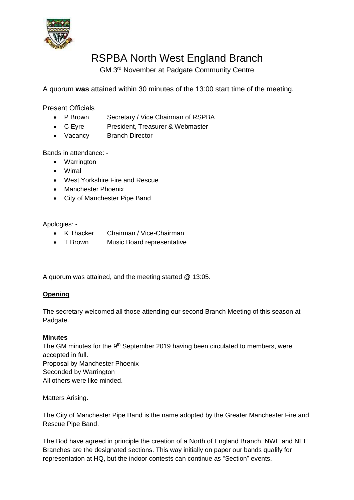

# RSPBA North West England Branch

GM 3<sup>rd</sup> November at Padgate Community Centre

A quorum **was** attained within 30 minutes of the 13:00 start time of the meeting.

Present Officials

- P Brown Secretary / Vice Chairman of RSPBA
- C Eyre President, Treasurer & Webmaster
- Vacancy Branch Director

Bands in attendance: -

- Warrington
- Wirral
- West Yorkshire Fire and Rescue
- Manchester Phoenix
- City of Manchester Pipe Band

Apologies: -

- K Thacker Chairman / Vice-Chairman
- T Brown Music Board representative

A quorum was attained, and the meeting started @ 13:05.

# **Opening**

The secretary welcomed all those attending our second Branch Meeting of this season at Padgate.

#### **Minutes**

The GM minutes for the 9<sup>th</sup> September 2019 having been circulated to members, were accepted in full. Proposal by Manchester Phoenix Seconded by Warrington All others were like minded.

#### Matters Arising.

The City of Manchester Pipe Band is the name adopted by the Greater Manchester Fire and Rescue Pipe Band.

The Bod have agreed in principle the creation of a North of England Branch. NWE and NEE Branches are the designated sections. This way initially on paper our bands qualify for representation at HQ, but the indoor contests can continue as "Section" events.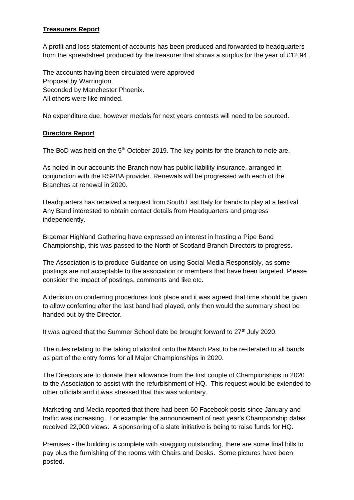## **Treasurers Report**

A profit and loss statement of accounts has been produced and forwarded to headquarters from the spreadsheet produced by the treasurer that shows a surplus for the year of £12.94.

The accounts having been circulated were approved Proposal by Warrington. Seconded by Manchester Phoenix. All others were like minded.

No expenditure due, however medals for next years contests will need to be sourced.

## **Directors Report**

The BoD was held on the  $5<sup>th</sup>$  October 2019. The key points for the branch to note are.

As noted in our accounts the Branch now has public liability insurance, arranged in conjunction with the RSPBA provider. Renewals will be progressed with each of the Branches at renewal in 2020.

Headquarters has received a request from South East Italy for bands to play at a festival. Any Band interested to obtain contact details from Headquarters and progress independently.

Braemar Highland Gathering have expressed an interest in hosting a Pipe Band Championship, this was passed to the North of Scotland Branch Directors to progress.

The Association is to produce Guidance on using Social Media Responsibly, as some postings are not acceptable to the association or members that have been targeted. Please consider the impact of postings, comments and like etc.

A decision on conferring procedures took place and it was agreed that time should be given to allow conferring after the last band had played, only then would the summary sheet be handed out by the Director.

It was agreed that the Summer School date be brought forward to 27<sup>th</sup> July 2020.

The rules relating to the taking of alcohol onto the March Past to be re-iterated to all bands as part of the entry forms for all Major Championships in 2020.

The Directors are to donate their allowance from the first couple of Championships in 2020 to the Association to assist with the refurbishment of HQ. This request would be extended to other officials and it was stressed that this was voluntary.

Marketing and Media reported that there had been 60 Facebook posts since January and traffic was increasing. For example: the announcement of next year's Championship dates received 22,000 views. A sponsoring of a slate initiative is being to raise funds for HQ.

Premises - the building is complete with snagging outstanding, there are some final bills to pay plus the furnishing of the rooms with Chairs and Desks. Some pictures have been posted.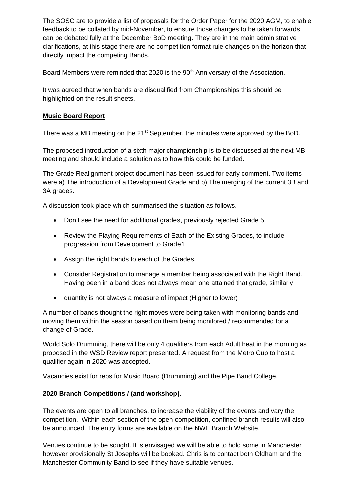The SOSC are to provide a list of proposals for the Order Paper for the 2020 AGM, to enable feedback to be collated by mid-November, to ensure those changes to be taken forwards can be debated fully at the December BoD meeting. They are in the main administrative clarifications, at this stage there are no competition format rule changes on the horizon that directly impact the competing Bands.

Board Members were reminded that 2020 is the 90<sup>th</sup> Anniversary of the Association.

It was agreed that when bands are disqualified from Championships this should be highlighted on the result sheets.

### **Music Board Report**

There was a MB meeting on the 21<sup>st</sup> September, the minutes were approved by the BoD.

The proposed introduction of a sixth major championship is to be discussed at the next MB meeting and should include a solution as to how this could be funded.

The Grade Realignment project document has been issued for early comment. Two items were a) The introduction of a Development Grade and b) The merging of the current 3B and 3A grades.

A discussion took place which summarised the situation as follows.

- Don't see the need for additional grades, previously rejected Grade 5.
- Review the Playing Requirements of Each of the Existing Grades, to include progression from Development to Grade1
- Assign the right bands to each of the Grades.
- Consider Registration to manage a member being associated with the Right Band. Having been in a band does not always mean one attained that grade, similarly
- quantity is not always a measure of impact (Higher to lower)

A number of bands thought the right moves were being taken with monitoring bands and moving them within the season based on them being monitored / recommended for a change of Grade.

World Solo Drumming, there will be only 4 qualifiers from each Adult heat in the morning as proposed in the WSD Review report presented. A request from the Metro Cup to host a qualifier again in 2020 was accepted.

Vacancies exist for reps for Music Board (Drumming) and the Pipe Band College.

# **2020 Branch Competitions / (and workshop).**

The events are open to all branches, to increase the viability of the events and vary the competition. Within each section of the open competition, confined branch results will also be announced. The entry forms are available on the NWE Branch Website.

Venues continue to be sought. It is envisaged we will be able to hold some in Manchester however provisionally St Josephs will be booked. Chris is to contact both Oldham and the Manchester Community Band to see if they have suitable venues.